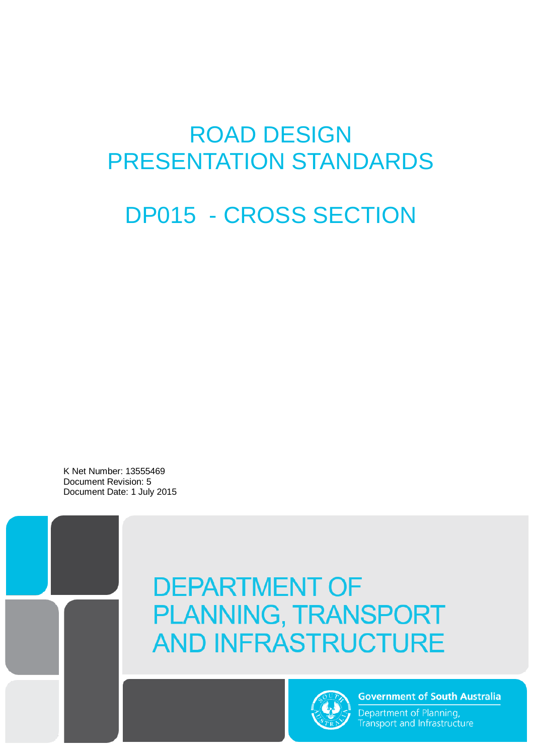# ROAD DESIGN PRESENTATION STANDARDS

DP015 - CROSS SECTION

K Net Number: 13555469 Document Revision: 5 Document Date: 1 July 2015





**Government of South Australia** 

Department of Planning, Transport and Infrastructure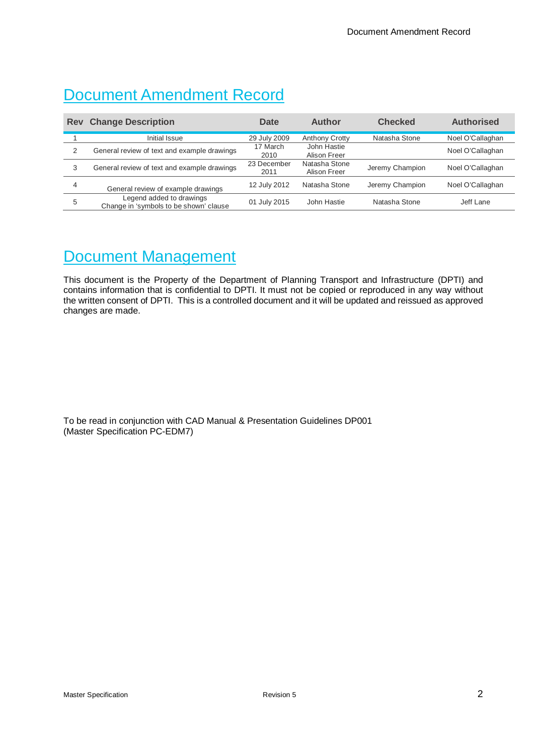## Document Amendment Record

| <b>Rev</b> | <b>Change Description</b>                                          | <b>Date</b>         | <b>Author</b>                 | <b>Checked</b>  | <b>Authorised</b> |
|------------|--------------------------------------------------------------------|---------------------|-------------------------------|-----------------|-------------------|
|            | Initial Issue                                                      | 29 July 2009        | <b>Anthony Crotty</b>         | Natasha Stone   | Noel O'Callaghan  |
| 2          | General review of text and example drawings                        | 17 March<br>2010    | John Hastie<br>Alison Freer   |                 | Noel O'Callaghan  |
| 3          | General review of text and example drawings                        | 23 December<br>2011 | Natasha Stone<br>Alison Freer | Jeremy Champion | Noel O'Callaghan  |
| 4          | General review of example drawings                                 | 12 July 2012        | Natasha Stone                 | Jeremy Champion | Noel O'Callaghan  |
| 5          | Legend added to drawings<br>Change in 'symbols to be shown' clause | 01 July 2015        | John Hastie                   | Natasha Stone   | Jeff Lane         |

### Document Management

This document is the Property of the Department of Planning Transport and Infrastructure (DPTI) and contains information that is confidential to DPTI. It must not be copied or reproduced in any way without the written consent of DPTI. This is a controlled document and it will be updated and reissued as approved changes are made.

To be read in conjunction with CAD Manual & Presentation Guidelines DP001 (Master Specification PC-EDM7)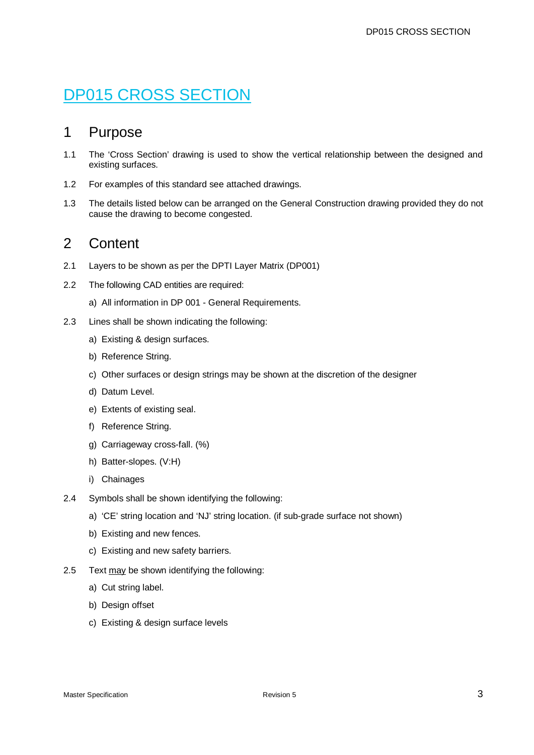### DP015 CROSS SECTION

#### 1 Purpose

- 1.1 The 'Cross Section' drawing is used to show the vertical relationship between the designed and existing surfaces.
- 1.2 For examples of this standard see attached drawings.
- 1.3 The details listed below can be arranged on the General Construction drawing provided they do not cause the drawing to become congested.

#### 2 Content

- 2.1 Layers to be shown as per the DPTI Layer Matrix (DP001)
- 2.2 The following CAD entities are required:
	- a) All information in DP 001 General Requirements.
- 2.3 Lines shall be shown indicating the following:
	- a) Existing & design surfaces.
	- b) Reference String.
	- c) Other surfaces or design strings may be shown at the discretion of the designer
	- d) Datum Level.
	- e) Extents of existing seal.
	- f) Reference String.
	- g) Carriageway cross-fall. (%)
	- h) Batter-slopes. (V:H)
	- i) Chainages
- 2.4 Symbols shall be shown identifying the following:
	- a) 'CE' string location and 'NJ' string location. (if sub-grade surface not shown)
	- b) Existing and new fences.
	- c) Existing and new safety barriers.
- 2.5 Text may be shown identifying the following:
	- a) Cut string label.
	- b) Design offset
	- c) Existing & design surface levels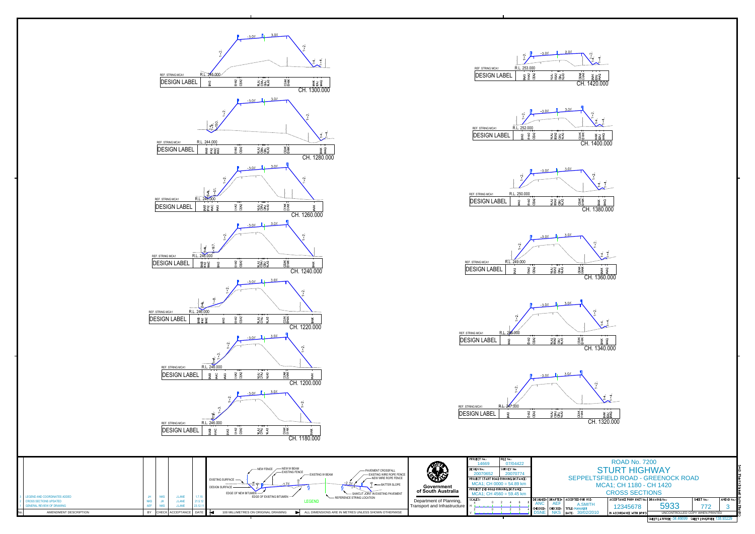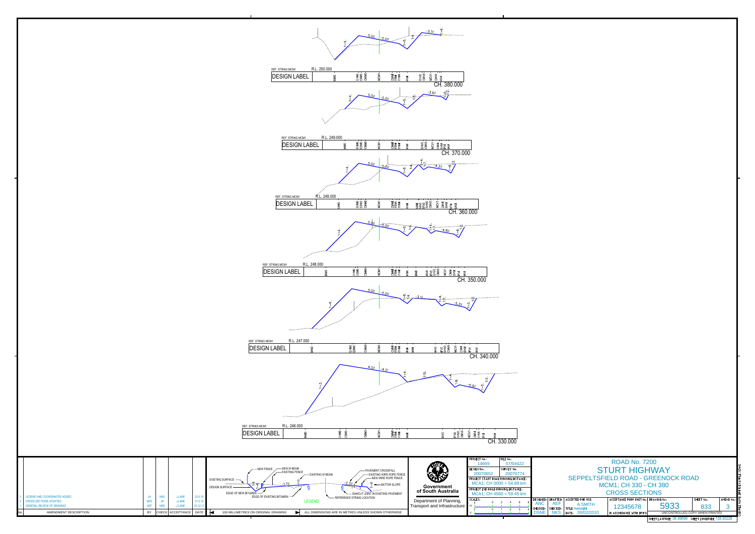

|                                                                                     | <b>ROAD No. 7200</b>                   |  |            |           |  |  |  |  |  |  |  |  |
|-------------------------------------------------------------------------------------|----------------------------------------|--|------------|-----------|--|--|--|--|--|--|--|--|
|                                                                                     | <b>STURT HIGHWAY</b>                   |  |            |           |  |  |  |  |  |  |  |  |
| 2.DWG<br>EXAMPLE<br>SEPPELTSFIELD ROAD - GREENOCK ROAD                              |                                        |  |            |           |  |  |  |  |  |  |  |  |
|                                                                                     | MCM1; CH 330 - CH 380<br>DP015         |  |            |           |  |  |  |  |  |  |  |  |
|                                                                                     | <b>CROSS SECTIONS</b>                  |  |            |           |  |  |  |  |  |  |  |  |
| CEPTED FOR USE:                                                                     | ACCEPTANCE FORM KNET No.: DRAWING No.: |  | SHFFT No.: | AMEND No. |  |  |  |  |  |  |  |  |
| NAME:<br><b>A.SMITH</b><br>5933<br>12345678<br>833<br>Ë<br>3<br>TLE: MANAGER        |                                        |  |            |           |  |  |  |  |  |  |  |  |
| GK,<br>TE: 30/02/2010<br>IN ACCORDANCE WITH DP013<br>UNCONTROLLED COPY WHEN PRINTED |                                        |  |            |           |  |  |  |  |  |  |  |  |
| SHEET LATITUDE-34.46699 SHEET LONGITUDE 138.93229                                   |                                        |  |            |           |  |  |  |  |  |  |  |  |